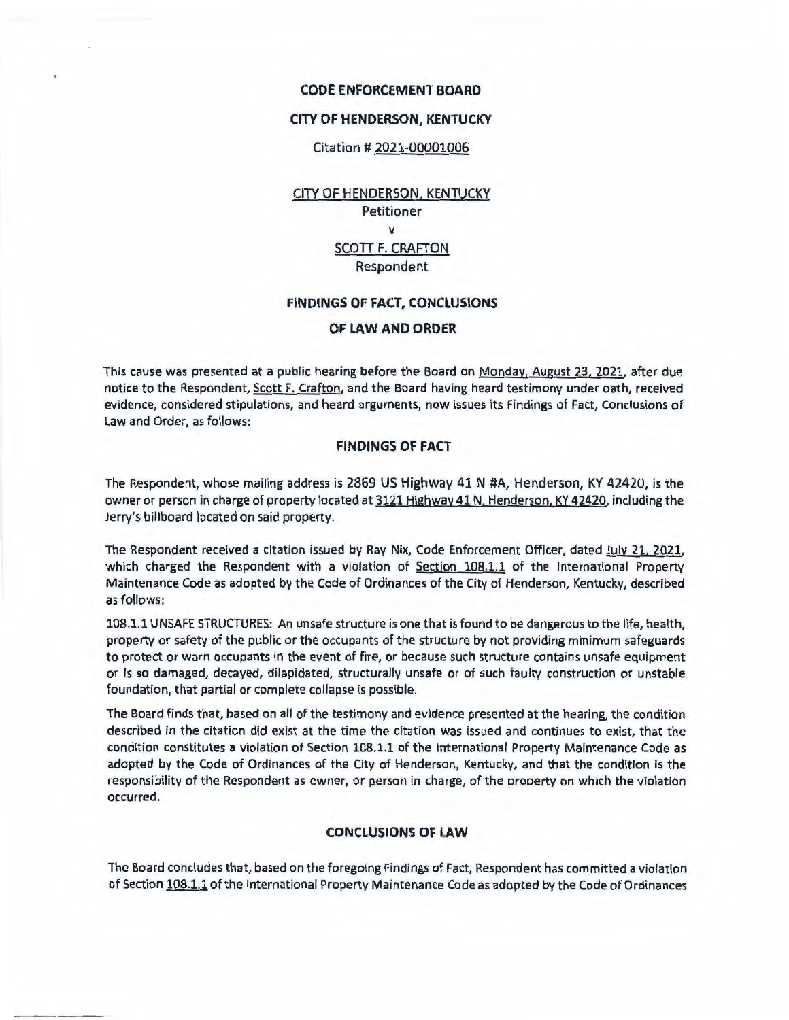#### **CODE ENFORCEMENT BOARD**

### **CITY OF HENDERSON, KENTUCKY**

### Citation # 2021-00001006

CITY OF HENDERSON, KENTUCKY Petitioner V SCOTT F. CRAFTON Respondent

### **FINDINGS OF FACT, CONCLUSIONS**

# **OF LAW AND ORDER**

This cause was presented at a public hearing before the Board on Monday, August 23. 2021. after due notice to the Respondent, Scott F. Crafton. and the Board having heard testimony under oath, received evidence, considered stipulations. and heard arguments. now issues its Findings of Fact, Conclusions of Law and Order. as follows:

# **FINDINGS OF FACT**

The Respondent, whose mailing address is 2869 US Highway 41 N #A, Henderson, KY 42420, is the owner or person in charge of property located at 3121 Highway 41 N. Henderson. KY 42420, including the Jerry's billboard located on said property.

The Respondent received a citation issued by Ray **Nix,** Code Enforcement Officer, dated July 21, 2021. which charged the Respondent with a violation of Section 108.1.1 of the International Property Maintenance Code as adopted by the Code of Ordinances of the City of Henderson, Kentucky, described as follows:

108.1.1 UNSAFE STRUCTURES: An unsafe structure is one that is found to be dangerous to the life, health, property or safety of the public or the occupants of the structure by not providing minimum safeguards to protect or warn occupants in the event of fire, or because such structure contains unsafe equipment or is so damaged, decayed, dilapidated, structurally unsafe or of such faulty construction or unstable foundation, that partial or complete collapse is possible.

The Board finds that, based on all of the testimony and evidence presented at the hearing, the condition described in the citation did exist at the time the citation was issued and continues to exist, that the condition constitutes a violation of Section 108.1.1 of the International Property Maintenance Code as adopted by the Code of Ordinances of the City of Henderson, Kentucky, and that the condition is the responsibility of the Respondent as owner, or person in charge, of the property on which the violation occurred.

### **CONCLUSIONS OF LAW**

The Board concludes that, based on the foregoing Findings of Fact. Respondent has committed a violation of Section 108.1.1 of the International Property Maintenance Code as adopted by the Code of Ordinances